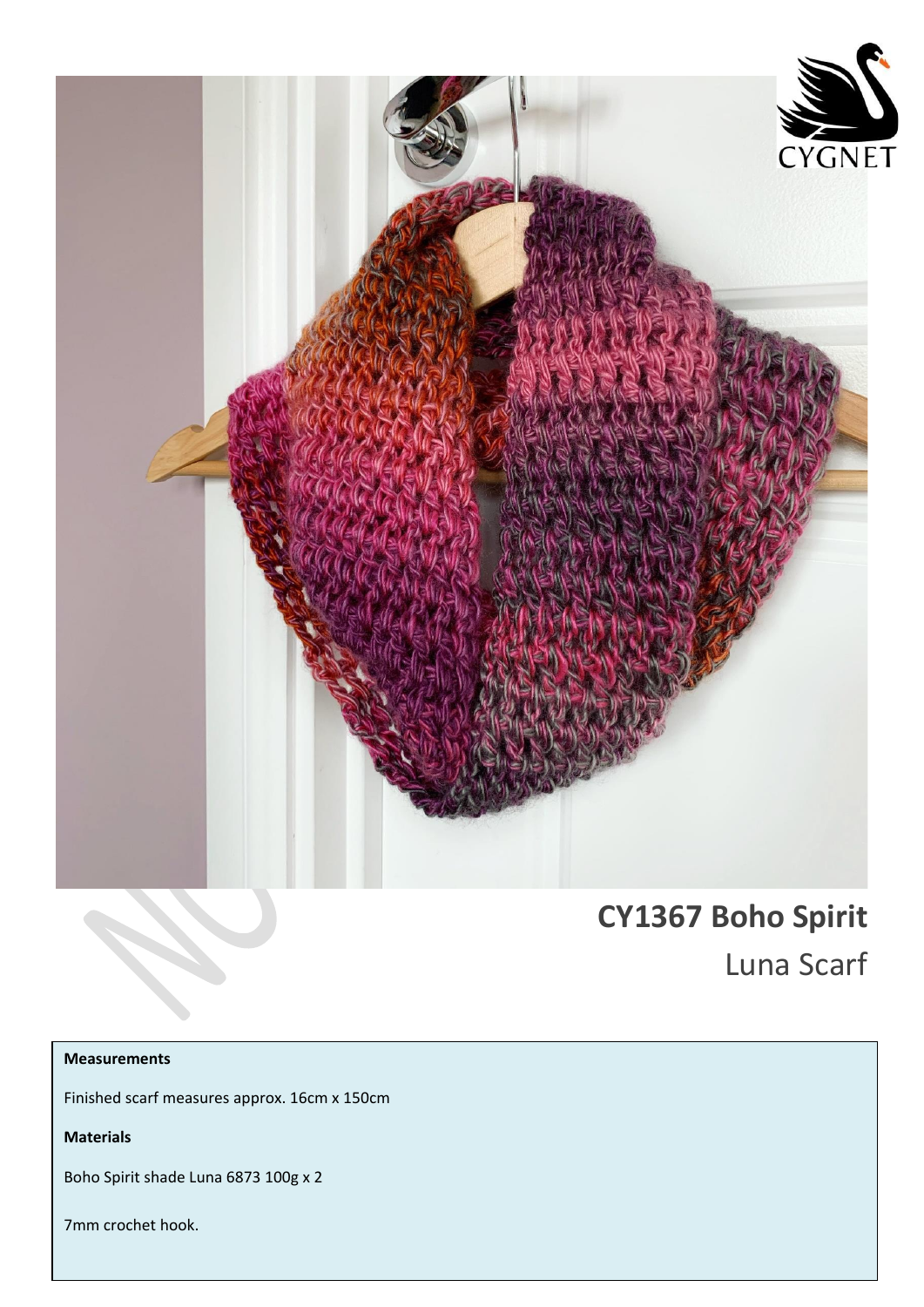

# **CY1367 Boho Spirit**

Luna Scarf

## **Measurements**

Finished scarf measures approx. 16cm x 150cm

**Materials**

Boho Spirit shade Luna 6873 100g x 2

7mm crochet hook.